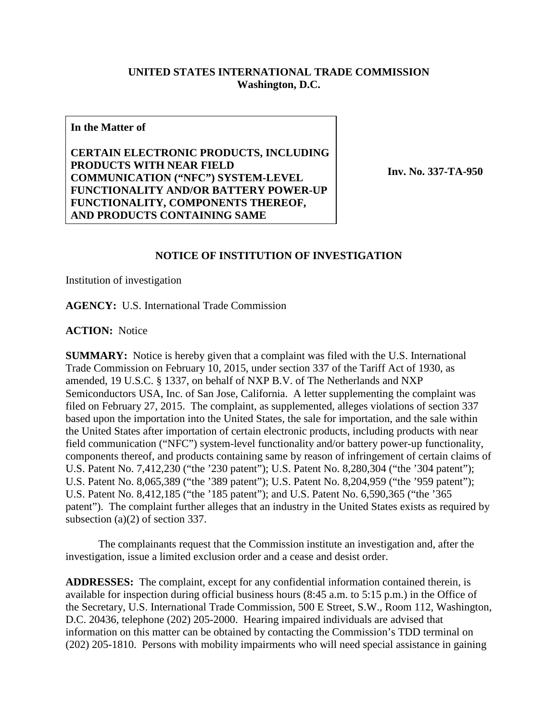## **UNITED STATES INTERNATIONAL TRADE COMMISSION Washington, D.C.**

## **In the Matter of**

**CERTAIN ELECTRONIC PRODUCTS, INCLUDING PRODUCTS WITH NEAR FIELD COMMUNICATION ("NFC") SYSTEM-LEVEL FUNCTIONALITY AND/OR BATTERY POWER-UP FUNCTIONALITY, COMPONENTS THEREOF, AND PRODUCTS CONTAINING SAME**

**Inv. No. 337-TA-950**

## **NOTICE OF INSTITUTION OF INVESTIGATION**

Institution of investigation

**AGENCY:** U.S. International Trade Commission

**ACTION:** Notice

**SUMMARY:** Notice is hereby given that a complaint was filed with the U.S. International Trade Commission on February 10, 2015, under section 337 of the Tariff Act of 1930, as amended, 19 U.S.C. § 1337, on behalf of NXP B.V. of The Netherlands and NXP Semiconductors USA, Inc. of San Jose, California. A letter supplementing the complaint was filed on February 27, 2015. The complaint, as supplemented, alleges violations of section 337 based upon the importation into the United States, the sale for importation, and the sale within the United States after importation of certain electronic products, including products with near field communication ("NFC") system-level functionality and/or battery power-up functionality, components thereof, and products containing same by reason of infringement of certain claims of U.S. Patent No. 7,412,230 ("the '230 patent"); U.S. Patent No. 8,280,304 ("the '304 patent"); U.S. Patent No. 8,065,389 ("the '389 patent"); U.S. Patent No. 8,204,959 ("the '959 patent"); U.S. Patent No. 8,412,185 ("the '185 patent"); and U.S. Patent No. 6,590,365 ("the '365 patent"). The complaint further alleges that an industry in the United States exists as required by subsection (a)(2) of section 337.

The complainants request that the Commission institute an investigation and, after the investigation, issue a limited exclusion order and a cease and desist order.

**ADDRESSES:** The complaint, except for any confidential information contained therein, is available for inspection during official business hours (8:45 a.m. to 5:15 p.m.) in the Office of the Secretary, U.S. International Trade Commission, 500 E Street, S.W., Room 112, Washington, D.C. 20436, telephone (202) 205-2000. Hearing impaired individuals are advised that information on this matter can be obtained by contacting the Commission's TDD terminal on (202) 205-1810. Persons with mobility impairments who will need special assistance in gaining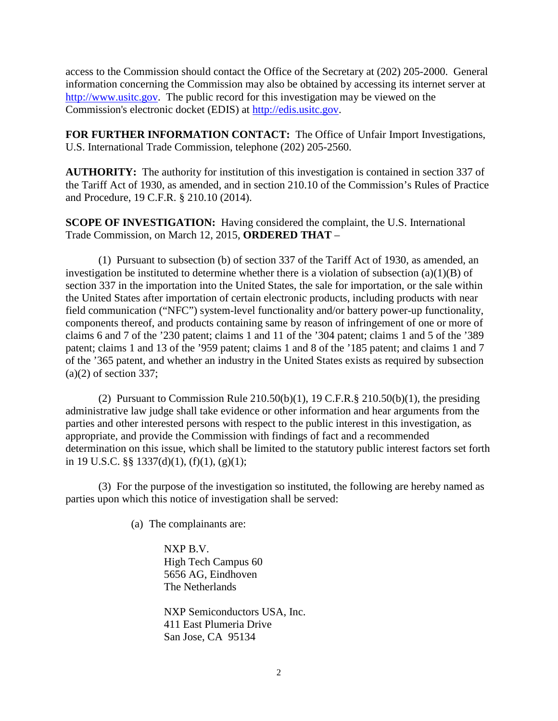access to the Commission should contact the Office of the Secretary at (202) 205-2000. General information concerning the Commission may also be obtained by accessing its internet server at [http://www.usitc.gov.](http://www.usitc.gov/) The public record for this investigation may be viewed on the Commission's electronic docket (EDIS) at [http://edis.usitc.gov.](http://edis.usitc.gov/)

**FOR FURTHER INFORMATION CONTACT:** The Office of Unfair Import Investigations, U.S. International Trade Commission, telephone (202) 205-2560.

**AUTHORITY:** The authority for institution of this investigation is contained in section 337 of the Tariff Act of 1930, as amended, and in section 210.10 of the Commission's Rules of Practice and Procedure, 19 C.F.R. § 210.10 (2014).

**SCOPE OF INVESTIGATION:** Having considered the complaint, the U.S. International Trade Commission, on March 12, 2015, **ORDERED THAT** –

(1) Pursuant to subsection (b) of section 337 of the Tariff Act of 1930, as amended, an investigation be instituted to determine whether there is a violation of subsection  $(a)(1)(B)$  of section 337 in the importation into the United States, the sale for importation, or the sale within the United States after importation of certain electronic products, including products with near field communication ("NFC") system-level functionality and/or battery power-up functionality, components thereof, and products containing same by reason of infringement of one or more of claims 6 and 7 of the '230 patent; claims 1 and 11 of the '304 patent; claims 1 and 5 of the '389 patent; claims 1 and 13 of the '959 patent; claims 1 and 8 of the '185 patent; and claims 1 and 7 of the '365 patent, and whether an industry in the United States exists as required by subsection  $(a)(2)$  of section 337;

(2) Pursuant to Commission Rule  $210.50(b)(1)$ , 19 C.F.R. §  $210.50(b)(1)$ , the presiding administrative law judge shall take evidence or other information and hear arguments from the parties and other interested persons with respect to the public interest in this investigation, as appropriate, and provide the Commission with findings of fact and a recommended determination on this issue, which shall be limited to the statutory public interest factors set forth in 19 U.S.C. §§ 1337(d)(1), (f)(1), (g)(1);

(3) For the purpose of the investigation so instituted, the following are hereby named as parties upon which this notice of investigation shall be served:

(a) The complainants are:

NXP B.V. High Tech Campus 60 5656 AG, Eindhoven The Netherlands

NXP Semiconductors USA, Inc. 411 East Plumeria Drive San Jose, CA 95134